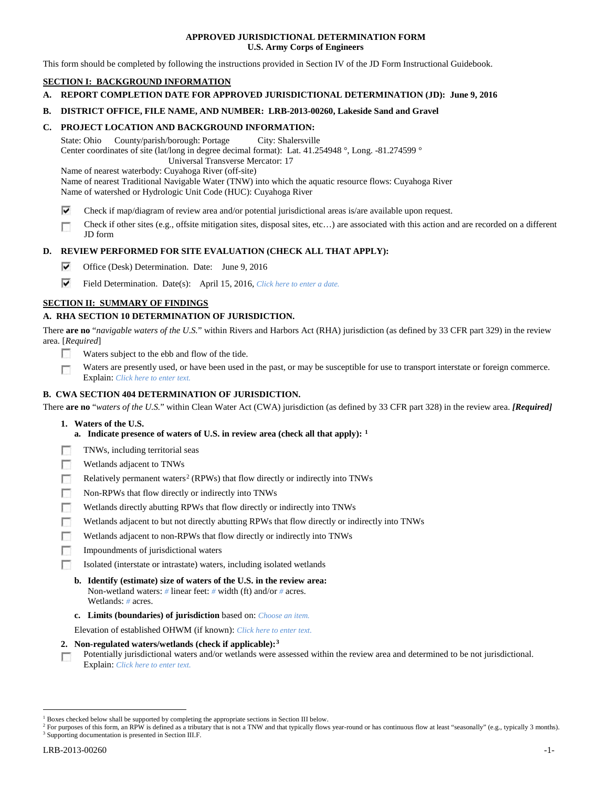## **APPROVED JURISDICTIONAL DETERMINATION FORM U.S. Army Corps of Engineers**

This form should be completed by following the instructions provided in Section IV of the JD Form Instructional Guidebook.

# **SECTION I: BACKGROUND INFORMATION**

**A. REPORT COMPLETION DATE FOR APPROVED JURISDICTIONAL DETERMINATION (JD): June 9, 2016**

## **B. DISTRICT OFFICE, FILE NAME, AND NUMBER: LRB-2013-00260, Lakeside Sand and Gravel**

## **C. PROJECT LOCATION AND BACKGROUND INFORMATION:**

State: Ohio County/parish/borough: Portage City: Shalersville Center coordinates of site (lat/long in degree decimal format): Lat. 41.254948 °, Long. -81.274599 ° Universal Transverse Mercator: 17

Name of nearest waterbody: Cuyahoga River (off-site)

Name of nearest Traditional Navigable Water (TNW) into which the aquatic resource flows: Cuyahoga River Name of watershed or Hydrologic Unit Code (HUC): Cuyahoga River

- ⊽ Check if map/diagram of review area and/or potential jurisdictional areas is/are available upon request.
- Check if other sites (e.g., offsite mitigation sites, disposal sites, etc…) are associated with this action and are recorded on a different п JD form

# **D. REVIEW PERFORMED FOR SITE EVALUATION (CHECK ALL THAT APPLY):**

- ⊽ Office (Desk) Determination. Date: June 9, 2016
- ⊽ Field Determination. Date(s): April 15, 2016, *Click here to enter a date.*

# **SECTION II: SUMMARY OF FINDINGS**

# **A. RHA SECTION 10 DETERMINATION OF JURISDICTION.**

There **are no** "*navigable waters of the U.S.*" within Rivers and Harbors Act (RHA) jurisdiction (as defined by 33 CFR part 329) in the review area. [*Required*]

- Е Waters subject to the ebb and flow of the tide.
- Waters are presently used, or have been used in the past, or may be susceptible for use to transport interstate or foreign commerce. г Explain: *Click here to enter text.*

# **B. CWA SECTION 404 DETERMINATION OF JURISDICTION.**

There **are no** "*waters of the U.S.*" within Clean Water Act (CWA) jurisdiction (as defined by 33 CFR part 328) in the review area. *[Required]*

- **1. Waters of the U.S.**
	- **a. Indicate presence of waters of U.S. in review area (check all that apply): [1](#page-0-0)**
- F TNWs, including territorial seas
- п Wetlands adjacent to TNWs
- Relatively permanent waters<sup>[2](#page-0-1)</sup> (RPWs) that flow directly or indirectly into TNWs Е
- Е Non-RPWs that flow directly or indirectly into TNWs
- п Wetlands directly abutting RPWs that flow directly or indirectly into TNWs
- г Wetlands adjacent to but not directly abutting RPWs that flow directly or indirectly into TNWs
- Wetlands adjacent to non-RPWs that flow directly or indirectly into TNWs г
- п Impoundments of jurisdictional waters
- Isolated (interstate or intrastate) waters, including isolated wetlands n.
	- **b. Identify (estimate) size of waters of the U.S. in the review area:** Non-wetland waters: *#* linear feet: *#* width (ft) and/or *#* acres. Wetlands: *#* acres.
	- **c. Limits (boundaries) of jurisdiction** based on: *Choose an item.*

Elevation of established OHWM (if known): *Click here to enter text.*

- **2. Non-regulated waters/wetlands (check if applicable):[3](#page-0-2)**
- Potentially jurisdictional waters and/or wetlands were assessed within the review area and determined to be not jurisdictional. п Explain: *Click here to enter text.*

<sup>&</sup>lt;sup>1</sup> Boxes checked below shall be supported by completing the appropriate sections in Section III below.

<span id="page-0-2"></span><span id="page-0-1"></span><span id="page-0-0"></span><sup>&</sup>lt;sup>2</sup> For purposes of this form, an RPW is defined as a tributary that is not a TNW and that typically flows year-round or has continuous flow at least "seasonally" (e.g., typically 3 months). <sup>3</sup> Supporting documentation is presented in Section III.F.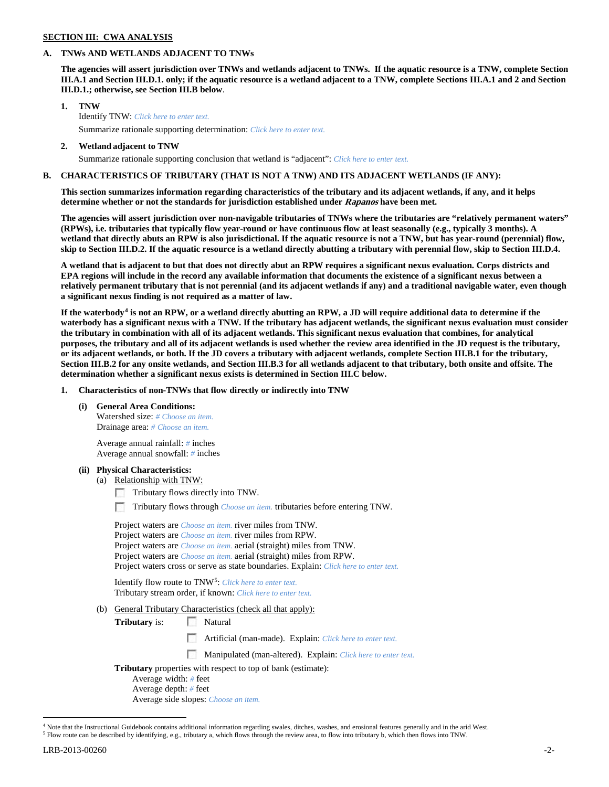### **SECTION III: CWA ANALYSIS**

### **A. TNWs AND WETLANDS ADJACENT TO TNWs**

**The agencies will assert jurisdiction over TNWs and wetlands adjacent to TNWs. If the aquatic resource is a TNW, complete Section III.A.1 and Section III.D.1. only; if the aquatic resource is a wetland adjacent to a TNW, complete Sections III.A.1 and 2 and Section III.D.1.; otherwise, see Section III.B below**.

- **1. TNW**  Identify TNW: *Click here to enter text.*
	- Summarize rationale supporting determination: *Click here to enter text.*
- **2. Wetland adjacent to TNW** Summarize rationale supporting conclusion that wetland is "adjacent": *Click here to enter text.*

# **B. CHARACTERISTICS OF TRIBUTARY (THAT IS NOT A TNW) AND ITS ADJACENT WETLANDS (IF ANY):**

**This section summarizes information regarding characteristics of the tributary and its adjacent wetlands, if any, and it helps determine whether or not the standards for jurisdiction established under Rapanos have been met.** 

**The agencies will assert jurisdiction over non-navigable tributaries of TNWs where the tributaries are "relatively permanent waters" (RPWs), i.e. tributaries that typically flow year-round or have continuous flow at least seasonally (e.g., typically 3 months). A wetland that directly abuts an RPW is also jurisdictional. If the aquatic resource is not a TNW, but has year-round (perennial) flow, skip to Section III.D.2. If the aquatic resource is a wetland directly abutting a tributary with perennial flow, skip to Section III.D.4.**

**A wetland that is adjacent to but that does not directly abut an RPW requires a significant nexus evaluation. Corps districts and EPA regions will include in the record any available information that documents the existence of a significant nexus between a relatively permanent tributary that is not perennial (and its adjacent wetlands if any) and a traditional navigable water, even though a significant nexus finding is not required as a matter of law.**

**If the waterbody[4](#page-1-0) is not an RPW, or a wetland directly abutting an RPW, a JD will require additional data to determine if the waterbody has a significant nexus with a TNW. If the tributary has adjacent wetlands, the significant nexus evaluation must consider the tributary in combination with all of its adjacent wetlands. This significant nexus evaluation that combines, for analytical purposes, the tributary and all of its adjacent wetlands is used whether the review area identified in the JD request is the tributary, or its adjacent wetlands, or both. If the JD covers a tributary with adjacent wetlands, complete Section III.B.1 for the tributary, Section III.B.2 for any onsite wetlands, and Section III.B.3 for all wetlands adjacent to that tributary, both onsite and offsite. The determination whether a significant nexus exists is determined in Section III.C below.**

**1. Characteristics of non-TNWs that flow directly or indirectly into TNW**

**(i) General Area Conditions:**

Watershed size: *# Choose an item.* Drainage area: *# Choose an item.*

Average annual rainfall: *#* inches Average annual snowfall: *#* inches

## **(ii) Physical Characteristics:**

- (a) Relationship with TNW:
	- Tributary flows directly into TNW.

Tributary flows through *Choose an item.* tributaries before entering TNW.

| Project waters are <i>Choose an item</i> , river miles from TNW.                      |
|---------------------------------------------------------------------------------------|
| Project waters are <i>Choose an item</i> , river miles from RPW.                      |
| Project waters are <i>Choose an item.</i> aerial (straight) miles from TNW.           |
| Project waters are <i>Choose an item.</i> aerial (straight) miles from RPW.           |
| Project waters cross or serve as state boundaries. Explain: Click here to enter text. |

Identify flow route to TNW[5:](#page-1-1) *Click here to enter text.* Tributary stream order, if known: *Click here to enter text.*

(b) General Tributary Characteristics (check all that apply):

**Tributary** is: Natural

Artificial (man-made). Explain: *Click here to enter text.*

 $\overline{\phantom{a}}$ Manipulated (man-altered). Explain: *Click here to enter text.*

**Tributary** properties with respect to top of bank (estimate):

- Average width: *#* feet
- Average depth: *#* feet

Average side slopes: *Choose an item.*

<span id="page-1-0"></span><sup>&</sup>lt;sup>4</sup> Note that the Instructional Guidebook contains additional information regarding swales, ditches, washes, and erosional features generally and in the arid West.

<span id="page-1-1"></span><sup>5</sup> Flow route can be described by identifying, e.g., tributary a, which flows through the review area, to flow into tributary b, which then flows into TNW.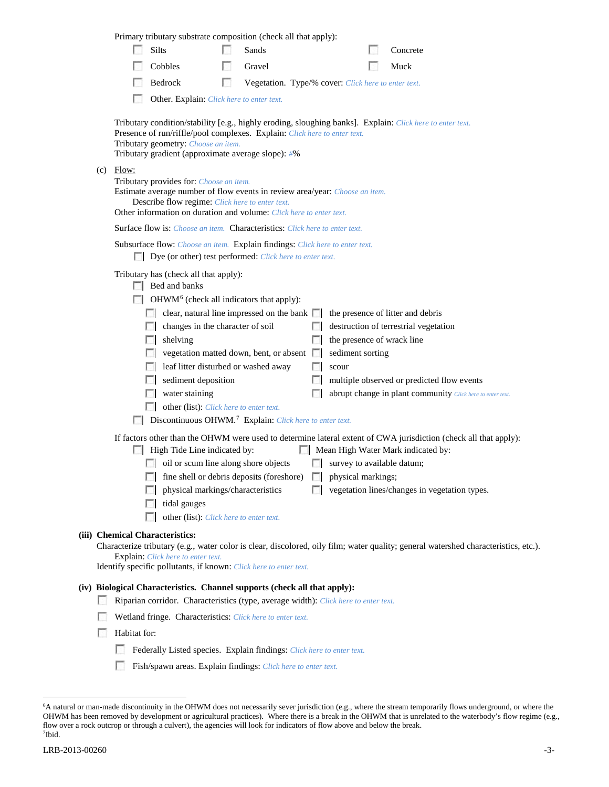|     |              | Primary tributary substrate composition (check all that apply):                                                                                                                                                                                                                                                                                                                                                                                                                                                              |   |                                                     |       |                           |                                                                                                                                                                                                                                                                                                                                          |  |
|-----|--------------|------------------------------------------------------------------------------------------------------------------------------------------------------------------------------------------------------------------------------------------------------------------------------------------------------------------------------------------------------------------------------------------------------------------------------------------------------------------------------------------------------------------------------|---|-----------------------------------------------------|-------|---------------------------|------------------------------------------------------------------------------------------------------------------------------------------------------------------------------------------------------------------------------------------------------------------------------------------------------------------------------------------|--|
|     | L. S.        | Silts                                                                                                                                                                                                                                                                                                                                                                                                                                                                                                                        |   | Sands                                               |       |                           | Concrete                                                                                                                                                                                                                                                                                                                                 |  |
|     |              | Cobbles                                                                                                                                                                                                                                                                                                                                                                                                                                                                                                                      |   | Gravel                                              |       |                           | Muck                                                                                                                                                                                                                                                                                                                                     |  |
|     |              | Bedrock                                                                                                                                                                                                                                                                                                                                                                                                                                                                                                                      | п | Vegetation. Type/% cover: Click here to enter text. |       |                           |                                                                                                                                                                                                                                                                                                                                          |  |
|     |              | Other. Explain: Click here to enter text.                                                                                                                                                                                                                                                                                                                                                                                                                                                                                    |   |                                                     |       |                           |                                                                                                                                                                                                                                                                                                                                          |  |
|     |              | Presence of run/riffle/pool complexes. Explain: Click here to enter text.<br>Tributary geometry: Choose an item.<br>Tributary gradient (approximate average slope): #%                                                                                                                                                                                                                                                                                                                                                       |   |                                                     |       |                           | Tributary condition/stability [e.g., highly eroding, sloughing banks]. Explain: Click here to enter text.                                                                                                                                                                                                                                |  |
| (c) | Flow:        | Tributary provides for: Choose an item.<br>Estimate average number of flow events in review area/year: Choose an item.<br>Describe flow regime: Click here to enter text.<br>Other information on duration and volume: Click here to enter text.                                                                                                                                                                                                                                                                             |   |                                                     |       |                           |                                                                                                                                                                                                                                                                                                                                          |  |
|     |              | Surface flow is: Choose an item. Characteristics: Click here to enter text.                                                                                                                                                                                                                                                                                                                                                                                                                                                  |   |                                                     |       |                           |                                                                                                                                                                                                                                                                                                                                          |  |
|     |              | Subsurface flow: Choose an item. Explain findings: Click here to enter text.<br>Dye (or other) test performed: Click here to enter text.                                                                                                                                                                                                                                                                                                                                                                                     |   |                                                     |       |                           |                                                                                                                                                                                                                                                                                                                                          |  |
|     |              | Tributary has (check all that apply):<br>$\Box$ Bed and banks<br>$\Box$ OHWM <sup>6</sup> (check all indicators that apply):<br>$\Box$ clear, natural line impressed on the bank $\Box$<br>$\Box$ changes in the character of soil<br>shelving<br>L. S. B<br>$\Box$ vegetation matted down, bent, or absent $\Box$<br>leaf litter disturbed or washed away<br>sediment deposition<br>water staining<br>other (list): <i>Click here to enter text.</i><br>Discontinuous OHWM. <sup>7</sup> Explain: Click here to enter text. |   |                                                     | scour | sediment sorting          | the presence of litter and debris<br>destruction of terrestrial vegetation<br>the presence of wrack line<br>multiple observed or predicted flow events<br>abrupt change in plant community Click here to enter text.<br>If factors other than the OHWM were used to determine lateral extent of CWA jurisdiction (check all that apply): |  |
|     |              | High Tide Line indicated by:                                                                                                                                                                                                                                                                                                                                                                                                                                                                                                 |   |                                                     |       |                           | Mean High Water Mark indicated by:                                                                                                                                                                                                                                                                                                       |  |
|     |              | oil or scum line along shore objects                                                                                                                                                                                                                                                                                                                                                                                                                                                                                         |   |                                                     |       |                           | $\Box$ survey to available datum;                                                                                                                                                                                                                                                                                                        |  |
|     |              | $\Box$ fine shell or debris deposits (foreshore)                                                                                                                                                                                                                                                                                                                                                                                                                                                                             |   | physical markings/characteristics                   |       | $\Box$ physical markings; | vegetation lines/changes in vegetation types.                                                                                                                                                                                                                                                                                            |  |
|     |              | tidal gauges                                                                                                                                                                                                                                                                                                                                                                                                                                                                                                                 |   |                                                     |       |                           |                                                                                                                                                                                                                                                                                                                                          |  |
|     |              | other (list): Click here to enter text.                                                                                                                                                                                                                                                                                                                                                                                                                                                                                      |   |                                                     |       |                           |                                                                                                                                                                                                                                                                                                                                          |  |
|     |              | (iii) Chemical Characteristics:<br>Explain: Click here to enter text.                                                                                                                                                                                                                                                                                                                                                                                                                                                        |   |                                                     |       |                           | Characterize tributary (e.g., water color is clear, discolored, oily film; water quality; general watershed characteristics, etc.).                                                                                                                                                                                                      |  |
|     |              | Identify specific pollutants, if known: Click here to enter text.                                                                                                                                                                                                                                                                                                                                                                                                                                                            |   |                                                     |       |                           |                                                                                                                                                                                                                                                                                                                                          |  |
|     |              | (iv) Biological Characteristics. Channel supports (check all that apply):                                                                                                                                                                                                                                                                                                                                                                                                                                                    |   |                                                     |       |                           |                                                                                                                                                                                                                                                                                                                                          |  |
|     |              | Riparian corridor. Characteristics (type, average width): Click here to enter text.                                                                                                                                                                                                                                                                                                                                                                                                                                          |   |                                                     |       |                           |                                                                                                                                                                                                                                                                                                                                          |  |
|     | Habitat for: | Wetland fringe. Characteristics: Click here to enter text.                                                                                                                                                                                                                                                                                                                                                                                                                                                                   |   |                                                     |       |                           |                                                                                                                                                                                                                                                                                                                                          |  |
|     | u            |                                                                                                                                                                                                                                                                                                                                                                                                                                                                                                                              |   |                                                     |       |                           |                                                                                                                                                                                                                                                                                                                                          |  |
|     |              | Federally Listed species. Explain findings: Click here to enter text.                                                                                                                                                                                                                                                                                                                                                                                                                                                        |   |                                                     |       |                           |                                                                                                                                                                                                                                                                                                                                          |  |
|     |              | Fish/spawn areas. Explain findings: Click here to enter text.                                                                                                                                                                                                                                                                                                                                                                                                                                                                |   |                                                     |       |                           |                                                                                                                                                                                                                                                                                                                                          |  |

<span id="page-2-1"></span><span id="page-2-0"></span> <sup>6</sup> <sup>6</sup>A natural or man-made discontinuity in the OHWM does not necessarily sever jurisdiction (e.g., where the stream temporarily flows underground, or where the OHWM has been removed by development or agricultural practices). Where there is a break in the OHWM that is unrelated to the waterbody's flow regime (e.g., flow over a rock outcrop or through a culvert), the agencies will look for indicators of flow above and below the break. 7 Ibid.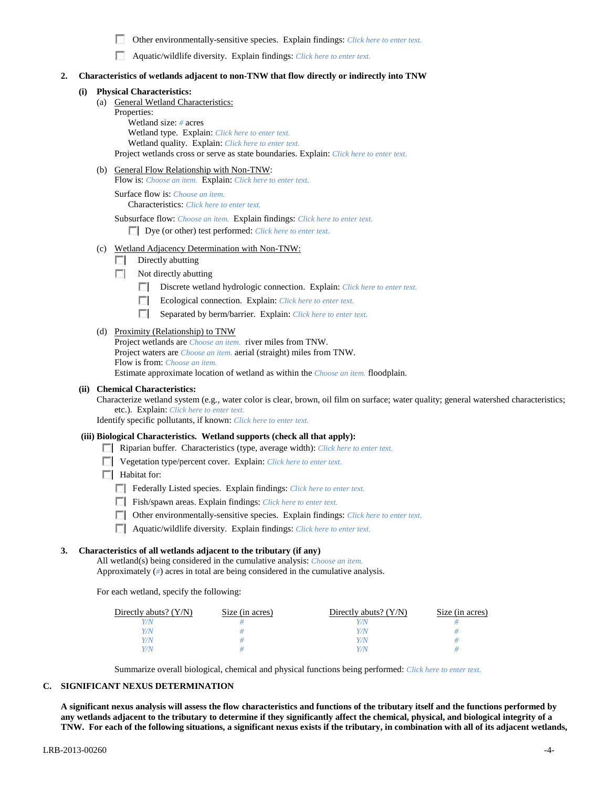п Other environmentally-sensitive species. Explain findings: *Click here to enter text.*

Aquatic/wildlife diversity. Explain findings: *Click here to enter text.*

### **2. Characteristics of wetlands adjacent to non-TNW that flow directly or indirectly into TNW**

### **(i) Physical Characteristics:**

- (a) General Wetland Characteristics:
	- Properties:

Wetland size: *#* acres Wetland type. Explain: *Click here to enter text.* Wetland quality. Explain: *Click here to enter text.* Project wetlands cross or serve as state boundaries. Explain: *Click here to enter text.*

(b) General Flow Relationship with Non-TNW:

Flow is: *Choose an item.* Explain: *Click here to enter text.*

Surface flow is: *Choose an item.* Characteristics: *Click here to enter text.*

Subsurface flow: *Choose an item.* Explain findings: *Click here to enter text.*

Dye (or other) test performed: *Click here to enter text.*

- (c) Wetland Adjacency Determination with Non-TNW:
	- $\Box$  Directly abutting
	- $\Box$  Not directly abutting
		- **1999** Discrete wetland hydrologic connection. Explain: *Click here to enter text.*
		- E. Ecological connection. Explain: *Click here to enter text.*
		- $\mathcal{L}$ Separated by berm/barrier. Explain: *Click here to enter text.*

### (d) Proximity (Relationship) to TNW

Project wetlands are *Choose an item.* river miles from TNW. Project waters are *Choose an item.* aerial (straight) miles from TNW. Flow is from: *Choose an item.* Estimate approximate location of wetland as within the *Choose an item.* floodplain.

### **(ii) Chemical Characteristics:**

Characterize wetland system (e.g., water color is clear, brown, oil film on surface; water quality; general watershed characteristics; etc.). Explain: *Click here to enter text.*

Identify specific pollutants, if known: *Click here to enter text.*

#### **(iii) Biological Characteristics. Wetland supports (check all that apply):**

- Riparian buffer. Characteristics (type, average width): *Click here to enter text.*
- Vegetation type/percent cover. Explain: *Click here to enter text.*
- $\Box$  Habitat for:
	- Federally Listed species. Explain findings: *Click here to enter text*.
	- Fish/spawn areas. Explain findings: *Click here to enter text.*
	- Other environmentally-sensitive species. Explain findings: *Click here to enter text.*
	- Aquatic/wildlife diversity. Explain findings: *Click here to enter text.*

# **3. Characteristics of all wetlands adjacent to the tributary (if any)**

All wetland(s) being considered in the cumulative analysis: *Choose an item.* Approximately (*#*) acres in total are being considered in the cumulative analysis.

For each wetland, specify the following:

| Directly abuts? $(Y/N)$ | Size (in acres) | Directly abuts? $(Y/N)$ | Size (in acres) |
|-------------------------|-----------------|-------------------------|-----------------|
|                         |                 |                         |                 |
|                         |                 | Y/N                     |                 |
| 7/N                     |                 | Y/N                     |                 |
|                         |                 | Y / N                   |                 |

Summarize overall biological, chemical and physical functions being performed: *Click here to enter text.*

### **C. SIGNIFICANT NEXUS DETERMINATION**

**A significant nexus analysis will assess the flow characteristics and functions of the tributary itself and the functions performed by any wetlands adjacent to the tributary to determine if they significantly affect the chemical, physical, and biological integrity of a TNW. For each of the following situations, a significant nexus exists if the tributary, in combination with all of its adjacent wetlands,**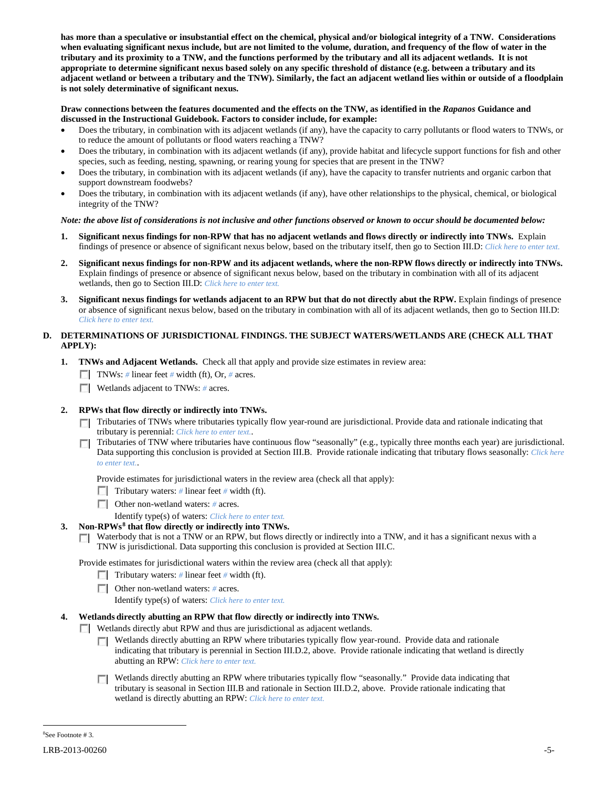**has more than a speculative or insubstantial effect on the chemical, physical and/or biological integrity of a TNW. Considerations when evaluating significant nexus include, but are not limited to the volume, duration, and frequency of the flow of water in the tributary and its proximity to a TNW, and the functions performed by the tributary and all its adjacent wetlands. It is not appropriate to determine significant nexus based solely on any specific threshold of distance (e.g. between a tributary and its adjacent wetland or between a tributary and the TNW). Similarly, the fact an adjacent wetland lies within or outside of a floodplain is not solely determinative of significant nexus.** 

# **Draw connections between the features documented and the effects on the TNW, as identified in the** *Rapanos* **Guidance and discussed in the Instructional Guidebook. Factors to consider include, for example:**

- Does the tributary, in combination with its adjacent wetlands (if any), have the capacity to carry pollutants or flood waters to TNWs, or to reduce the amount of pollutants or flood waters reaching a TNW?
- Does the tributary, in combination with its adjacent wetlands (if any), provide habitat and lifecycle support functions for fish and other species, such as feeding, nesting, spawning, or rearing young for species that are present in the TNW?
- Does the tributary, in combination with its adjacent wetlands (if any), have the capacity to transfer nutrients and organic carbon that support downstream foodwebs?
- Does the tributary, in combination with its adjacent wetlands (if any), have other relationships to the physical, chemical, or biological integrity of the TNW?

# *Note: the above list of considerations is not inclusive and other functions observed or known to occur should be documented below:*

- **1. Significant nexus findings for non-RPW that has no adjacent wetlands and flows directly or indirectly into TNWs.** Explain findings of presence or absence of significant nexus below, based on the tributary itself, then go to Section III.D: *Click here to enter text.*
- **2. Significant nexus findings for non-RPW and its adjacent wetlands, where the non-RPW flows directly or indirectly into TNWs.**  Explain findings of presence or absence of significant nexus below, based on the tributary in combination with all of its adjacent wetlands, then go to Section III.D: *Click here to enter text.*
- **3. Significant nexus findings for wetlands adjacent to an RPW but that do not directly abut the RPW.** Explain findings of presence or absence of significant nexus below, based on the tributary in combination with all of its adjacent wetlands, then go to Section III.D: *Click here to enter text.*

# **D. DETERMINATIONS OF JURISDICTIONAL FINDINGS. THE SUBJECT WATERS/WETLANDS ARE (CHECK ALL THAT APPLY):**

- **1. TNWs and Adjacent Wetlands.** Check all that apply and provide size estimates in review area:
	- TNWs: *#* linear feet *#* width (ft), Or, *#* acres.
	- **Wetlands adjacent to TNWs:** # acres.

# **2. RPWs that flow directly or indirectly into TNWs.**

- Tributaries of TNWs where tributaries typically flow year-round are jurisdictional. Provide data and rationale indicating that tributary is perennial: *Click here to enter text.*.
- Tributaries of TNW where tributaries have continuous flow "seasonally" (e.g., typically three months each year) are jurisdictional. Data supporting this conclusion is provided at Section III.B. Provide rationale indicating that tributary flows seasonally: *Click here to enter text.*.

Provide estimates for jurisdictional waters in the review area (check all that apply):

- Tributary waters: # linear feet # width (ft).
- Other non-wetland waters: *#* acres.

Identify type(s) of waters: *Click here to enter text.*

- **3. Non-RPWs[8](#page-4-0) that flow directly or indirectly into TNWs.**
	- Waterbody that is not a TNW or an RPW, but flows directly or indirectly into a TNW, and it has a significant nexus with a TNW is jurisdictional. Data supporting this conclusion is provided at Section III.C.

Provide estimates for jurisdictional waters within the review area (check all that apply):

- Tributary waters: # linear feet # width (ft).
- Other non-wetland waters: *#* acres.
	- Identify type(s) of waters: *Click here to enter text.*

# **4. Wetlands directly abutting an RPW that flow directly or indirectly into TNWs.**

- Wetlands directly abut RPW and thus are jurisdictional as adjacent wetlands.
	- Wetlands directly abutting an RPW where tributaries typically flow year-round. Provide data and rationale indicating that tributary is perennial in Section III.D.2, above. Provide rationale indicating that wetland is directly abutting an RPW: *Click here to enter text.*
	- **T** Wetlands directly abutting an RPW where tributaries typically flow "seasonally." Provide data indicating that tributary is seasonal in Section III.B and rationale in Section III.D.2, above. Provide rationale indicating that wetland is directly abutting an RPW: *Click here to enter text.*

<span id="page-4-0"></span> $\frac{1}{8}$ See Footnote # 3.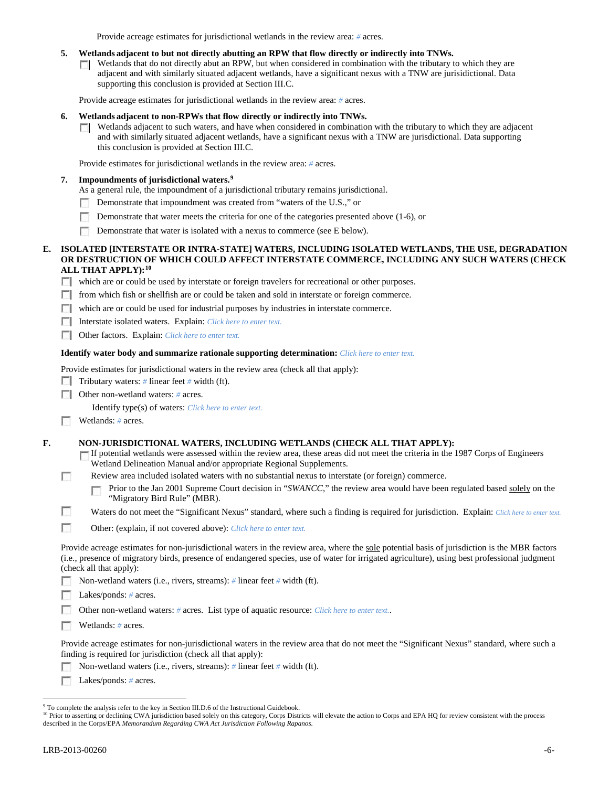Provide acreage estimates for jurisdictional wetlands in the review area: *#* acres.

### **5. Wetlands adjacent to but not directly abutting an RPW that flow directly or indirectly into TNWs.**

Wetlands that do not directly abut an RPW, but when considered in combination with the tributary to which they are **TT** adjacent and with similarly situated adjacent wetlands, have a significant nexus with a TNW are jurisidictional. Data supporting this conclusion is provided at Section III.C.

Provide acreage estimates for jurisdictional wetlands in the review area: *#* acres.

### **6. Wetlands adjacent to non-RPWs that flow directly or indirectly into TNWs.**

Wetlands adjacent to such waters, and have when considered in combination with the tributary to which they are adjacent  $\Box$ and with similarly situated adjacent wetlands, have a significant nexus with a TNW are jurisdictional. Data supporting this conclusion is provided at Section III.C.

Provide estimates for jurisdictional wetlands in the review area: *#* acres.

## **7. Impoundments of jurisdictional waters. [9](#page-5-0)**

- As a general rule, the impoundment of a jurisdictional tributary remains jurisdictional.
- Demonstrate that impoundment was created from "waters of the U.S.," or n.
- Demonstrate that water meets the criteria for one of the categories presented above (1-6), or
- Demonstrate that water is isolated with a nexus to commerce (see E below).

### **E. ISOLATED [INTERSTATE OR INTRA-STATE] WATERS, INCLUDING ISOLATED WETLANDS, THE USE, DEGRADATION OR DESTRUCTION OF WHICH COULD AFFECT INTERSTATE COMMERCE, INCLUDING ANY SUCH WATERS (CHECK ALL THAT APPLY):[10](#page-5-1)**

which are or could be used by interstate or foreign travelers for recreational or other purposes.

**F** from which fish or shellfish are or could be taken and sold in interstate or foreign commerce.

which are or could be used for industrial purposes by industries in interstate commerce.

Interstate isolated waters.Explain: *Click here to enter text.*

Other factors.Explain: *Click here to enter text.*

## **Identify water body and summarize rationale supporting determination:** *Click here to enter text.*

Provide estimates for jurisdictional waters in the review area (check all that apply):

Tributary waters: # linear feet # width (ft).

Other non-wetland waters: *#* acres.

Identify type(s) of waters: *Click here to enter text.*

Wetlands: # acres.

г

**F. NON-JURISDICTIONAL WATERS, INCLUDING WETLANDS (CHECK ALL THAT APPLY):**

If potential wetlands were assessed within the review area, these areas did not meet the criteria in the 1987 Corps of Engineers Wetland Delineation Manual and/or appropriate Regional Supplements.

Review area included isolated waters with no substantial nexus to interstate (or foreign) commerce.

Prior to the Jan 2001 Supreme Court decision in "*SWANCC*," the review area would have been regulated based solely on the г "Migratory Bird Rule" (MBR).

n Waters do not meet the "Significant Nexus" standard, where such a finding is required for jurisdiction. Explain: *Click here to enter text.* 

**In** Other: (explain, if not covered above): *Click here to enter text.*

Provide acreage estimates for non-jurisdictional waters in the review area, where the sole potential basis of jurisdiction is the MBR factors (i.e., presence of migratory birds, presence of endangered species, use of water for irrigated agriculture), using best professional judgment (check all that apply):

Non-wetland waters (i.e., rivers, streams): *#* linear feet *#* width (ft).

 $\sim$ Lakes/ponds: *#* acres.

Other non-wetland waters: *#* acres. List type of aquatic resource: *Click here to enter text.*.

Wetlands: # acres.

Provide acreage estimates for non-jurisdictional waters in the review area that do not meet the "Significant Nexus" standard, where such a finding is required for jurisdiction (check all that apply):

Non-wetland waters (i.e., rivers, streams): *#* linear feet *#* width (ft).

Г Lakes/ponds: *#* acres.

<span id="page-5-0"></span><sup>&</sup>lt;sup>9</sup> To complete the analysis refer to the key in Section III.D.6 of the Instructional Guidebook.

<span id="page-5-1"></span><sup>&</sup>lt;sup>10</sup> Prior to asserting or declining CWA jurisdiction based solely on this category, Corps Districts will elevate the action to Corps and EPA HQ for review consistent with the process described in the Corps/EPA *Memorandum Regarding CWA Act Jurisdiction Following Rapanos.*